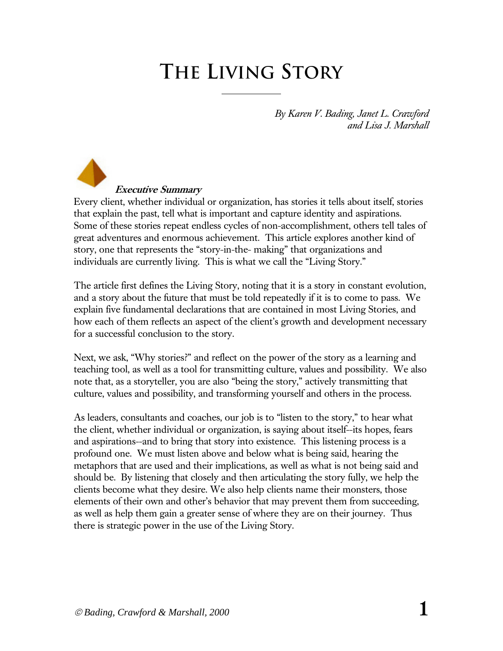# **The Living Story**

*By Karen V. Bading, Janet L. Crawford and Lisa J. Marshall* 

 **Executive Summary**  Every client, whether individual or organization, has stories it tells about itself, stories that explain the past, tell what is important and capture identity and aspirations. Some of these stories repeat endless cycles of non-accomplishment, others tell tales of great adventures and enormous achievement. This article explores another kind of story, one that represents the "story-in-the- making" that organizations and individuals are currently living. This is what we call the "Living Story."

The article first defines the Living Story, noting that it is a story in constant evolution, and a story about the future that must be told repeatedly if it is to come to pass. We explain five fundamental declarations that are contained in most Living Stories, and how each of them reflects an aspect of the client's growth and development necessary for a successful conclusion to the story.

Next, we ask, "Why stories?" and reflect on the power of the story as a learning and teaching tool, as well as a tool for transmitting culture, values and possibility. We also note that, as a storyteller, you are also "being the story," actively transmitting that culture, values and possibility, and transforming yourself and others in the process.

As leaders, consultants and coaches, our job is to "listen to the story," to hear what the client, whether individual or organization, is saying about itself--its hopes, fears and aspirations--and to bring that story into existence. This listening process is a profound one. We must listen above and below what is being said, hearing the metaphors that are used and their implications, as well as what is not being said and should be. By listening that closely and then articulating the story fully, we help the clients become what they desire. We also help clients name their monsters, those elements of their own and other's behavior that may prevent them from succeeding, as well as help them gain a greater sense of where they are on their journey. Thus there is strategic power in the use of the Living Story.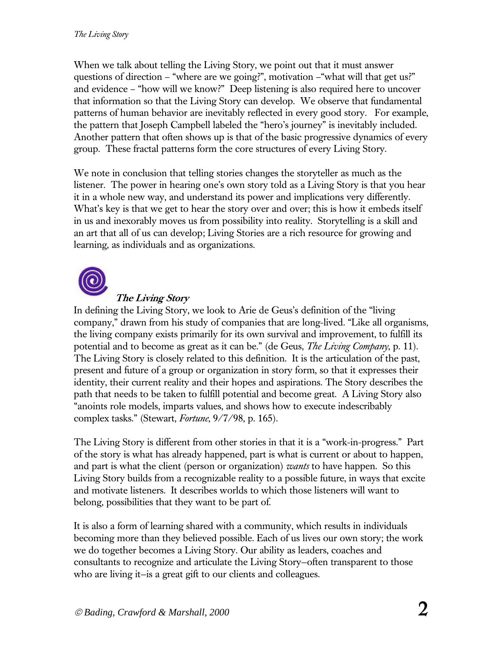When we talk about telling the Living Story, we point out that it must answer questions of direction – "where are we going?", motivation –"what will that get us?" and evidence – "how will we know?" Deep listening is also required here to uncover that information so that the Living Story can develop. We observe that fundamental patterns of human behavior are inevitably reflected in every good story. For example, the pattern that Joseph Campbell labeled the "hero's journey" is inevitably included. Another pattern that often shows up is that of the basic progressive dynamics of every group. These fractal patterns form the core structures of every Living Story.

We note in conclusion that telling stories changes the storyteller as much as the listener. The power in hearing one's own story told as a Living Story is that you hear it in a whole new way, and understand its power and implications very differently. What's key is that we get to hear the story over and over; this is how it embeds itself in us and inexorably moves us from possibility into reality. Storytelling is a skill and an art that all of us can develop; Living Stories are a rich resource for growing and learning, as individuals and as organizations.



## **The Living Story**

In defining the Living Story, we look to Arie de Geus's definition of the "living company," drawn from his study of companies that are long-lived. "Like all organisms, the living company exists primarily for its own survival and improvement, to fulfill its potential and to become as great as it can be." (de Geus, *The Living Company*, p. 11). The Living Story is closely related to this definition. It is the articulation of the past, present and future of a group or organization in story form, so that it expresses their identity, their current reality and their hopes and aspirations. The Story describes the path that needs to be taken to fulfill potential and become great. A Living Story also "anoints role models, imparts values, and shows how to execute indescribably complex tasks." (Stewart, *Fortune*, 9/7/98, p. 165).

The Living Story is different from other stories in that it is a "work-in-progress." Part of the story is what has already happened, part is what is current or about to happen, and part is what the client (person or organization) *wants* to have happen. So this Living Story builds from a recognizable reality to a possible future, in ways that excite and motivate listeners. It describes worlds to which those listeners will want to belong, possibilities that they want to be part of.

It is also a form of learning shared with a community, which results in individuals becoming more than they believed possible. Each of us lives our own story; the work we do together becomes a Living Story. Our ability as leaders, coaches and consultants to recognize and articulate the Living Story—often transparent to those who are living it—is a great gift to our clients and colleagues.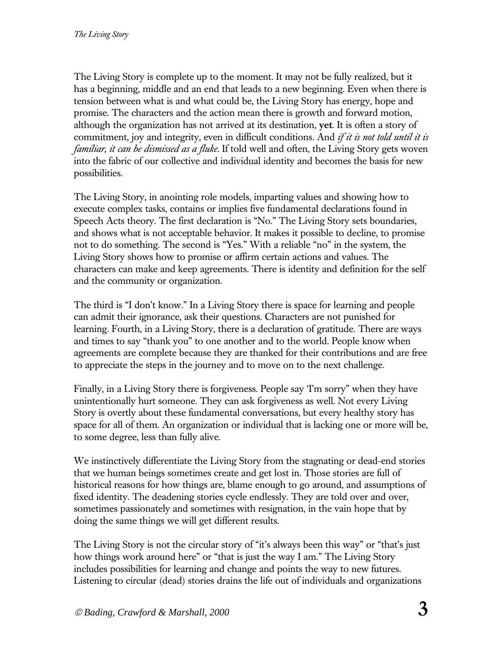The Living Story is complete up to the moment. It may not be fully realized, but it has a beginning, middle and an end that leads to a new beginning. Even when there is tension between what is and what could be, the Living Story has energy, hope and promise. The characters and the action mean there is growth and forward motion, although the organization has not arrived at its destination, **yet**. It is often a story of commitment, joy and integrity, even in difficult conditions. And *if it is not told until it is familiar, it can be dismissed as a fluke*. If told well and often, the Living Story gets woven into the fabric of our collective and individual identity and becomes the basis for new possibilities.

The Living Story, in anointing role models, imparting values and showing how to execute complex tasks, contains or implies five fundamental declarations found in Speech Acts theory. The first declaration is "No." The Living Story sets boundaries, and shows what is not acceptable behavior. It makes it possible to decline, to promise not to do something. The second is "Yes." With a reliable "no" in the system, the Living Story shows how to promise or affirm certain actions and values. The characters can make and keep agreements. There is identity and definition for the self and the community or organization.

The third is "I don't know." In a Living Story there is space for learning and people can admit their ignorance, ask their questions. Characters are not punished for learning. Fourth, in a Living Story, there is a declaration of gratitude. There are ways and times to say "thank you" to one another and to the world. People know when agreements are complete because they are thanked for their contributions and are free to appreciate the steps in the journey and to move on to the next challenge.

Finally, in a Living Story there is forgiveness. People say 'I'm sorry" when they have unintentionally hurt someone. They can ask forgiveness as well. Not every Living Story is overtly about these fundamental conversations, but every healthy story has space for all of them. An organization or individual that is lacking one or more will be, to some degree, less than fully alive.

We instinctively differentiate the Living Story from the stagnating or dead-end stories that we human beings sometimes create and get lost in. Those stories are full of historical reasons for how things are, blame enough to go around, and assumptions of fixed identity. The deadening stories cycle endlessly. They are told over and over, sometimes passionately and sometimes with resignation, in the vain hope that by doing the same things we will get different results.

The Living Story is not the circular story of "it's always been this way" or "that's just how things work around here" or "that is just the way I am." The Living Story includes possibilities for learning and change and points the way to new futures. Listening to circular (dead) stories drains the life out of individuals and organizations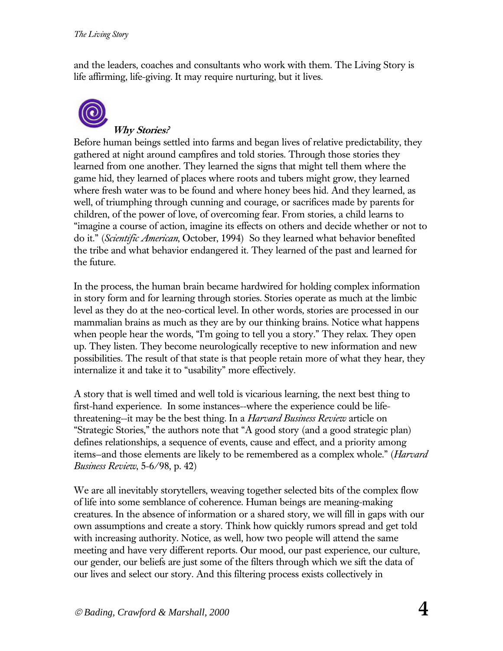and the leaders, coaches and consultants who work with them. The Living Story is life affirming, life-giving. It may require nurturing, but it lives.



#### **Why Stories?**

Before human beings settled into farms and began lives of relative predictability, they gathered at night around campfires and told stories. Through those stories they learned from one another. They learned the signs that might tell them where the game hid, they learned of places where roots and tubers might grow, they learned where fresh water was to be found and where honey bees hid. And they learned, as well, of triumphing through cunning and courage, or sacrifices made by parents for children, of the power of love, of overcoming fear. From stories, a child learns to "imagine a course of action, imagine its effects on others and decide whether or not to do it." (*Scientific American*, October, 1994) So they learned what behavior benefited the tribe and what behavior endangered it. They learned of the past and learned for the future.

In the process, the human brain became hardwired for holding complex information in story form and for learning through stories. Stories operate as much at the limbic level as they do at the neo-cortical level. In other words, stories are processed in our mammalian brains as much as they are by our thinking brains. Notice what happens when people hear the words, "I'm going to tell you a story." They relax. They open up. They listen. They become neurologically receptive to new information and new possibilities. The result of that state is that people retain more of what they hear, they internalize it and take it to "usability" more effectively.

A story that is well timed and well told is vicarious learning, the next best thing to first-hand experience. In some instances--where the experience could be lifethreatening--it may be the best thing. In a *Harvard Business Review* article on "Strategic Stories," the authors note that "A good story (and a good strategic plan) defines relationships, a sequence of events, cause and effect, and a priority among items—and those elements are likely to be remembered as a complex whole." (*Harvard Business Review*, 5-6/98, p. 42)

We are all inevitably storytellers, weaving together selected bits of the complex flow of life into some semblance of coherence. Human beings are meaning-making creatures. In the absence of information or a shared story, we will fill in gaps with our own assumptions and create a story. Think how quickly rumors spread and get told with increasing authority. Notice, as well, how two people will attend the same meeting and have very different reports. Our mood, our past experience, our culture, our gender, our beliefs are just some of the filters through which we sift the data of our lives and select our story. And this filtering process exists collectively in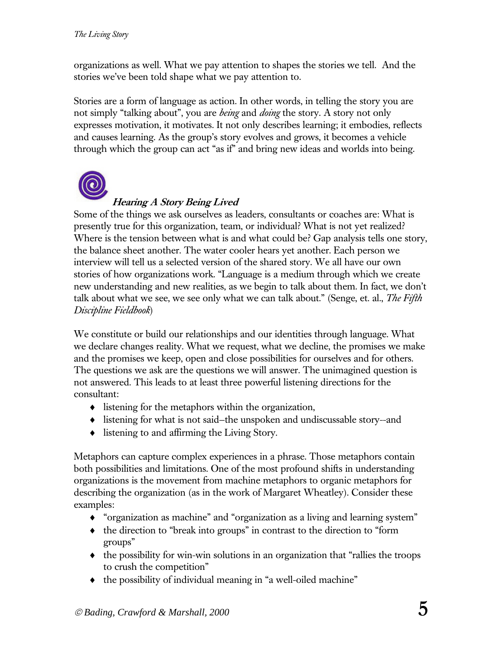organizations as well. What we pay attention to shapes the stories we tell. And the stories we've been told shape what we pay attention to.

Stories are a form of language as action. In other words, in telling the story you are not simply "talking about", you are *being* and *doing* the story. A story not only expresses motivation, it motivates. It not only describes learning; it embodies, reflects and causes learning. As the group's story evolves and grows, it becomes a vehicle through which the group can act "as if" and bring new ideas and worlds into being.



## **Hearing A Story Being Lived**

Some of the things we ask ourselves as leaders, consultants or coaches are: What is presently true for this organization, team, or individual? What is not yet realized? Where is the tension between what is and what could be? Gap analysis tells one story, the balance sheet another. The water cooler hears yet another. Each person we interview will tell us a selected version of the shared story. We all have our own stories of how organizations work. "Language is a medium through which we create new understanding and new realities, as we begin to talk about them. In fact, we don't talk about what we see, we see only what we can talk about." (Senge, et. al., *The Fifth Discipline Fieldbook*)

We constitute or build our relationships and our identities through language. What we declare changes reality. What we request, what we decline, the promises we make and the promises we keep, open and close possibilities for ourselves and for others. The questions we ask are the questions we will answer. The unimagined question is not answered. This leads to at least three powerful listening directions for the consultant:

- ♦ listening for the metaphors within the organization,
- ♦ listening for what is not said—the unspoken and undiscussable story--and
- ♦ listening to and affirming the Living Story.

Metaphors can capture complex experiences in a phrase. Those metaphors contain both possibilities and limitations. One of the most profound shifts in understanding organizations is the movement from machine metaphors to organic metaphors for describing the organization (as in the work of Margaret Wheatley). Consider these examples:

- ♦ "organization as machine" and "organization as a living and learning system"
- ♦ the direction to "break into groups" in contrast to the direction to "form groups"
- ♦ the possibility for win-win solutions in an organization that "rallies the troops to crush the competition"
- ♦ the possibility of individual meaning in "a well-oiled machine"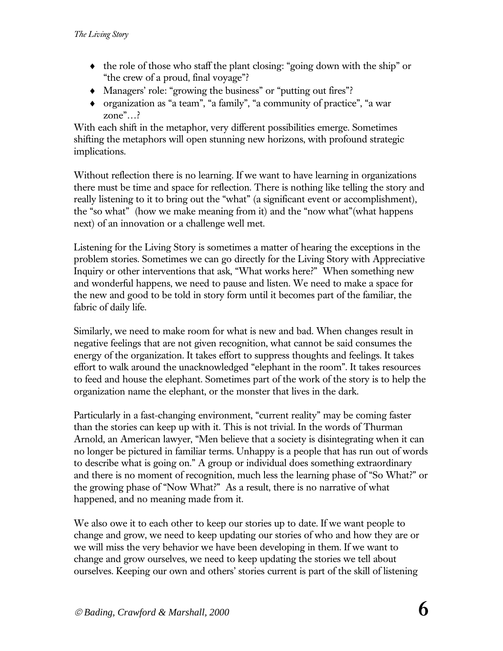- ♦ the role of those who staff the plant closing: "going down with the ship" or "the crew of a proud, final voyage"?
- ♦ Managers' role: "growing the business" or "putting out fires"?
- ♦ organization as "a team", "a family", "a community of practice", "a war zone"…?

With each shift in the metaphor, very different possibilities emerge. Sometimes shifting the metaphors will open stunning new horizons, with profound strategic implications.

Without reflection there is no learning. If we want to have learning in organizations there must be time and space for reflection. There is nothing like telling the story and really listening to it to bring out the "what" (a significant event or accomplishment), the "so what" (how we make meaning from it) and the "now what"(what happens next) of an innovation or a challenge well met.

Listening for the Living Story is sometimes a matter of hearing the exceptions in the problem stories. Sometimes we can go directly for the Living Story with Appreciative Inquiry or other interventions that ask, "What works here?" When something new and wonderful happens, we need to pause and listen. We need to make a space for the new and good to be told in story form until it becomes part of the familiar, the fabric of daily life.

Similarly, we need to make room for what is new and bad. When changes result in negative feelings that are not given recognition, what cannot be said consumes the energy of the organization. It takes effort to suppress thoughts and feelings. It takes effort to walk around the unacknowledged "elephant in the room". It takes resources to feed and house the elephant. Sometimes part of the work of the story is to help the organization name the elephant, or the monster that lives in the dark.

Particularly in a fast-changing environment, "current reality" may be coming faster than the stories can keep up with it. This is not trivial. In the words of Thurman Arnold, an American lawyer, "Men believe that a society is disintegrating when it can no longer be pictured in familiar terms. Unhappy is a people that has run out of words to describe what is going on." A group or individual does something extraordinary and there is no moment of recognition, much less the learning phase of "So What?" or the growing phase of "Now What?" As a result, there is no narrative of what happened, and no meaning made from it.

We also owe it to each other to keep our stories up to date. If we want people to change and grow, we need to keep updating our stories of who and how they are or we will miss the very behavior we have been developing in them. If we want to change and grow ourselves, we need to keep updating the stories we tell about ourselves. Keeping our own and others' stories current is part of the skill of listening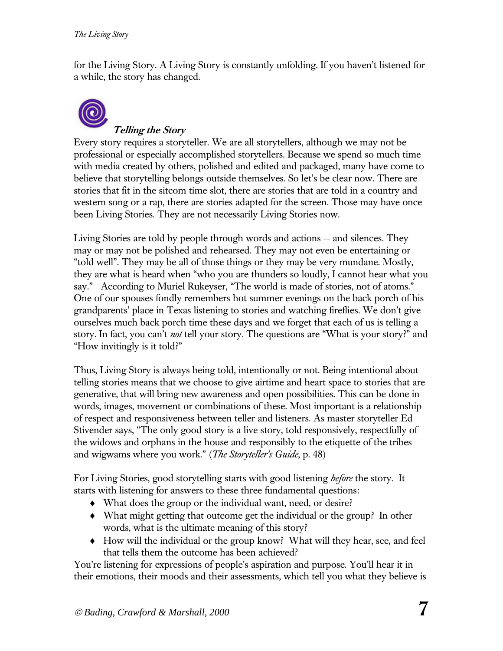for the Living Story. A Living Story is constantly unfolding. If you haven't listened for a while, the story has changed.



# **Telling the Story**

Every story requires a storyteller. We are all storytellers, although we may not be professional or especially accomplished storytellers. Because we spend so much time with media created by others, polished and edited and packaged, many have come to believe that storytelling belongs outside themselves. So let's be clear now. There are stories that fit in the sitcom time slot, there are stories that are told in a country and western song or a rap, there are stories adapted for the screen. Those may have once been Living Stories. They are not necessarily Living Stories now.

Living Stories are told by people through words and actions -- and silences. They may or may not be polished and rehearsed. They may not even be entertaining or "told well". They may be all of those things or they may be very mundane. Mostly, they are what is heard when "who you are thunders so loudly, I cannot hear what you say." According to Muriel Rukeyser, "The world is made of stories, not of atoms." One of our spouses fondly remembers hot summer evenings on the back porch of his grandparents' place in Texas listening to stories and watching fireflies. We don't give ourselves much back porch time these days and we forget that each of us is telling a story. In fact, you can't *not* tell your story. The questions are "What is your story?" and "How invitingly is it told?"

Thus, Living Story is always being told, intentionally or not. Being intentional about telling stories means that we choose to give airtime and heart space to stories that are generative, that will bring new awareness and open possibilities. This can be done in words, images, movement or combinations of these. Most important is a relationship of respect and responsiveness between teller and listeners. As master storyteller Ed Stivender says, "The only good story is a live story, told responsively, respectfully of the widows and orphans in the house and responsibly to the etiquette of the tribes and wigwams where you work." (*The Storyteller's Guide*, p. 48)

For Living Stories, good storytelling starts with good listening *before* the story.It starts with listening for answers to these three fundamental questions:

- ♦ What does the group or the individual want, need, or desire?
- ♦ What might getting that outcome get the individual or the group? In other words, what is the ultimate meaning of this story?
- ♦ How will the individual or the group know? What will they hear, see, and feel that tells them the outcome has been achieved?

You're listening for expressions of people's aspiration and purpose. You'll hear it in their emotions, their moods and their assessments, which tell you what they believe is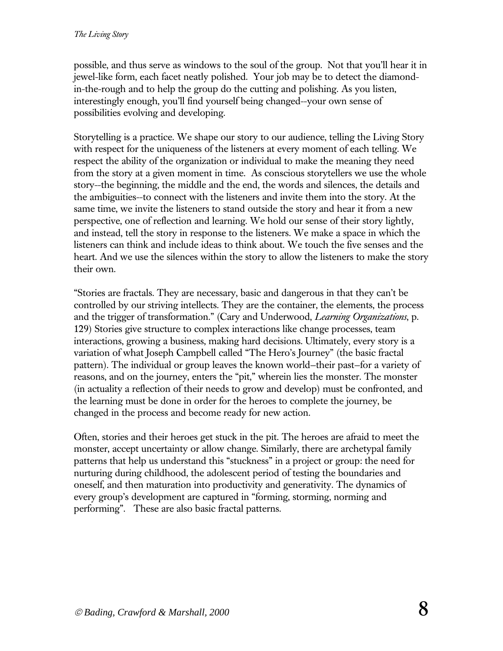possible, and thus serve as windows to the soul of the group. Not that you'll hear it in jewel-like form, each facet neatly polished. Your job may be to detect the diamondin-the-rough and to help the group do the cutting and polishing. As you listen, interestingly enough, you'll find yourself being changed--your own sense of possibilities evolving and developing.

Storytelling is a practice. We shape our story to our audience, telling the Living Story with respect for the uniqueness of the listeners at every moment of each telling. We respect the ability of the organization or individual to make the meaning they need from the story at a given moment in time. As conscious storytellers we use the whole story--the beginning, the middle and the end, the words and silences, the details and the ambiguities--to connect with the listeners and invite them into the story. At the same time, we invite the listeners to stand outside the story and hear it from a new perspective, one of reflection and learning. We hold our sense of their story lightly, and instead, tell the story in response to the listeners. We make a space in which the listeners can think and include ideas to think about. We touch the five senses and the heart. And we use the silences within the story to allow the listeners to make the story their own.

"Stories are fractals. They are necessary, basic and dangerous in that they can't be controlled by our striving intellects. They are the container, the elements, the process and the trigger of transformation." (Cary and Underwood, *Learning Organizations*, p. 129) Stories give structure to complex interactions like change processes, team interactions, growing a business, making hard decisions. Ultimately, every story is a variation of what Joseph Campbell called "The Hero's Journey" (the basic fractal pattern). The individual or group leaves the known world—their past—for a variety of reasons, and on the journey, enters the "pit," wherein lies the monster. The monster (in actuality a reflection of their needs to grow and develop) must be confronted, and the learning must be done in order for the heroes to complete the journey, be changed in the process and become ready for new action.

Often, stories and their heroes get stuck in the pit. The heroes are afraid to meet the monster, accept uncertainty or allow change. Similarly, there are archetypal family patterns that help us understand this "stuckness" in a project or group: the need for nurturing during childhood, the adolescent period of testing the boundaries and oneself, and then maturation into productivity and generativity. The dynamics of every group's development are captured in "forming, storming, norming and performing". These are also basic fractal patterns.